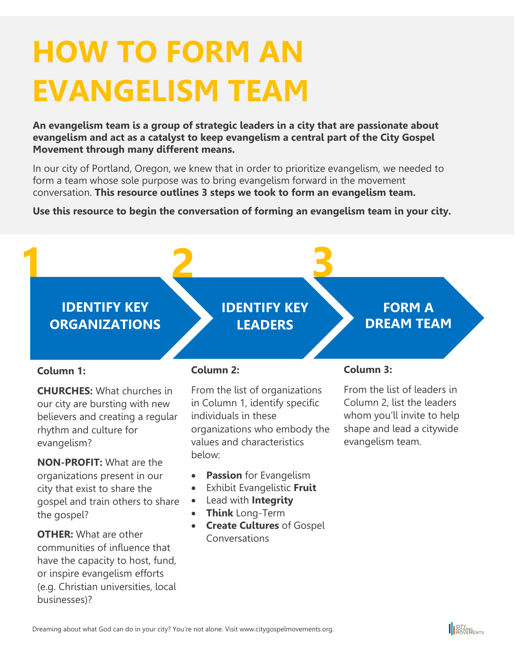# **HOW TO FORM AN EVANGELISM TEAM**

**An evangelism team is a group of strategic leaders in a city that are passionate about evangelism and act as a catalyst to keep evangelism a central part of the City Gospel Movement through many different means.**

In our city of Portland, Oregon, we knew that in order to prioritize evangelism, we needed to form a team whose sole purpose was to bring evangelism forward in the movement conversation. **This resource outlines 3 steps we took to form an evangelism team.**

## **Use this resource to begin the conversation of forming an evangelism team in your city.**



### **Column 1:**

**CHURCHES:** What churches in our city are bursting with new believers and creating a regular rhythm and culture for evangelism?

**NON-PROFIT:** What are the organizations present in our city that exist to share the gospel and train others to share the gospel?

**OTHER:** What are other communities of influence that have the capacity to host, fund, or inspire evangelism efforts (e.g. Christian universities, local businesses)?

#### **Column 2:**

From the list of organizations in Column 1, identify specific individuals in these organizations who embody the values and characteristics below:

- **Passion** for Evangelism
- Exhibit Evangelistic **Fruit**
- Lead with **Integrity**
- **Think** Long-Term
- **Create Cultures** of Gospel Conversations

#### **Column 3:**

From the list of leaders in Column 2, list the leaders whom you'll invite to help shape and lead a citywide evangelism team.